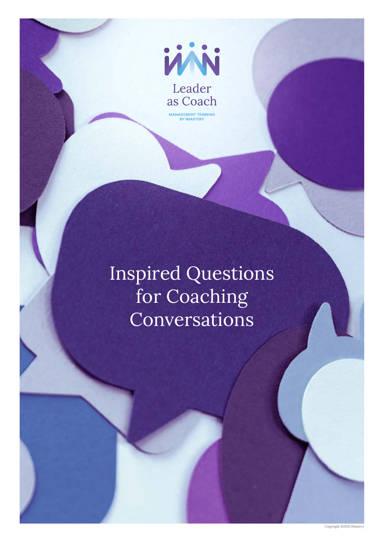

Inspired Questions for Coaching Conversations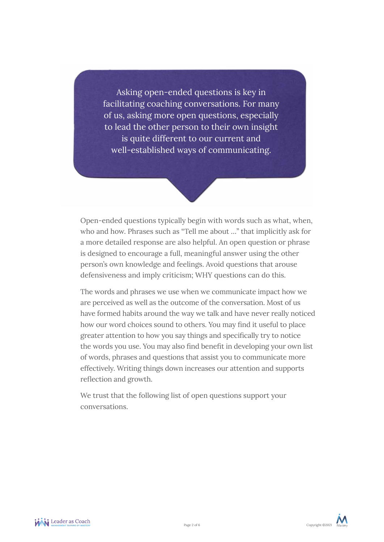Asking open-ended questions is key in facilitating coaching conversations. For many of us, asking more open questions, especially to lead the other person to their own insight is quite different to our current and well-established ways of communicating.

Open-ended questions typically begin with words such as what, when, who and how. Phrases such as "Tell me about …" that implicitly ask for a more detailed response are also helpful. An open question or phrase is designed to encourage a full, meaningful answer using the other person's own knowledge and feelings. Avoid questions that arouse defensiveness and imply criticism; WHY questions can do this.

The words and phrases we use when we communicate impact how we are perceived as well as the outcome of the conversation. Most of us have formed habits around the way we talk and have never really noticed how our word choices sound to others. You may find it useful to place greater attention to how you say things and specifically try to notice the words you use. You may also find benefit in developing your own list of words, phrases and questions that assist you to communicate more effectively. Writing things down increases our attention and supports reflection and growth.

We trust that the following list of open questions support your conversations.

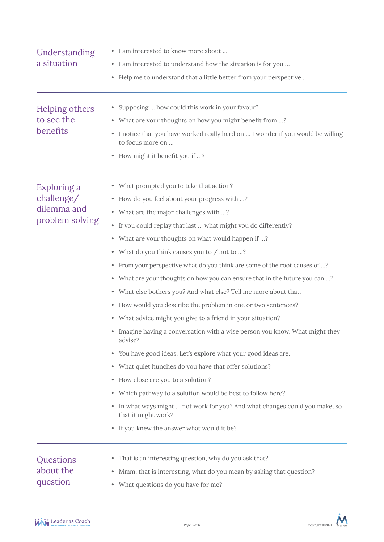| Understanding<br>a situation                                | • I am interested to know more about<br>• I am interested to understand how the situation is for you<br>• Help me to understand that a little better from your perspective                                                                                                                                                                                                                                                                                                                                                                                                                                                                                                                                                                                                                                                                                                                                                                                                                                                                                                                                                                                            |
|-------------------------------------------------------------|-----------------------------------------------------------------------------------------------------------------------------------------------------------------------------------------------------------------------------------------------------------------------------------------------------------------------------------------------------------------------------------------------------------------------------------------------------------------------------------------------------------------------------------------------------------------------------------------------------------------------------------------------------------------------------------------------------------------------------------------------------------------------------------------------------------------------------------------------------------------------------------------------------------------------------------------------------------------------------------------------------------------------------------------------------------------------------------------------------------------------------------------------------------------------|
| Helping others<br>to see the<br>benefits                    | • Supposing  how could this work in your favour?<br>• What are your thoughts on how you might benefit from ?<br>I notice that you have worked really hard on  I wonder if you would be willing<br>to focus more on<br>• How might it benefit you if ?                                                                                                                                                                                                                                                                                                                                                                                                                                                                                                                                                                                                                                                                                                                                                                                                                                                                                                                 |
| Exploring a<br>challenge/<br>dilemma and<br>problem solving | • What prompted you to take that action?<br>• How do you feel about your progress with ?<br>• What are the major challenges with ?<br>• If you could replay that last  what might you do differently?<br>• What are your thoughts on what would happen if ?<br>• What do you think causes you to / not to ?<br>• From your perspective what do you think are some of the root causes of ?<br>• What are your thoughts on how you can ensure that in the future you can ?<br>• What else bothers you? And what else? Tell me more about that.<br>• How would you describe the problem in one or two sentences?<br>• What advice might you give to a friend in your situation?<br>Imagine having a conversation with a wise person you know. What might they<br>advise?<br>• You have good ideas. Let's explore what your good ideas are.<br>• What quiet hunches do you have that offer solutions?<br>• How close are you to a solution?<br>• Which pathway to a solution would be best to follow here?<br>In what ways might  not work for you? And what changes could you make, so<br>$\bullet$<br>that it might work?<br>• If you knew the answer what would it be? |
| Questions<br>about the<br>question                          | • That is an interesting question, why do you ask that?<br>Mmm, that is interesting, what do you mean by asking that question?<br>۰<br>What questions do you have for me?<br>$\bullet$                                                                                                                                                                                                                                                                                                                                                                                                                                                                                                                                                                                                                                                                                                                                                                                                                                                                                                                                                                                |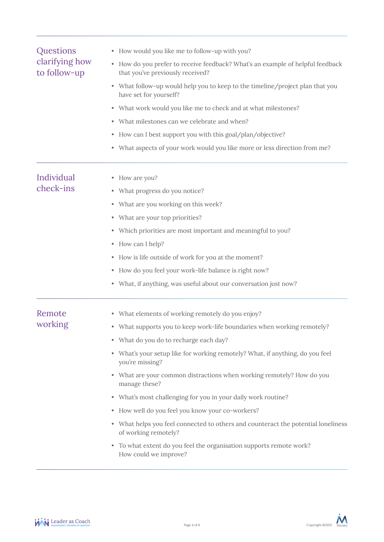| Questions<br>clarifying how<br>to follow-up                  | • How would you like me to follow-up with you?                                                                                                                                            |                         |                                |
|--------------------------------------------------------------|-------------------------------------------------------------------------------------------------------------------------------------------------------------------------------------------|-------------------------|--------------------------------|
|                                                              | • How do you prefer to receive feedback? What's an example of helpful feedback<br>that you've previously received?                                                                        |                         |                                |
|                                                              | • What follow-up would help you to keep to the timeline/project plan that you<br>have set for yourself?                                                                                   |                         |                                |
|                                                              | • What work would you like me to check and at what milestones?                                                                                                                            |                         |                                |
|                                                              | • What milestones can we celebrate and when?<br>• How can I best support you with this goal/plan/objective?<br>• What aspects of your work would you like more or less direction from me? |                         |                                |
|                                                              |                                                                                                                                                                                           | Individual<br>check-ins | • How are you?                 |
|                                                              |                                                                                                                                                                                           |                         | • What progress do you notice? |
| • What are you working on this week?                         |                                                                                                                                                                                           |                         |                                |
| • What are your top priorities?                              |                                                                                                                                                                                           |                         |                                |
| • Which priorities are most important and meaningful to you? |                                                                                                                                                                                           |                         |                                |
|                                                              | • How can I help?                                                                                                                                                                         |                         |                                |
|                                                              | • How is life outside of work for you at the moment?                                                                                                                                      |                         |                                |
|                                                              | • How do you feel your work-life balance is right now?                                                                                                                                    |                         |                                |
|                                                              | • What, if anything, was useful about our conversation just now?                                                                                                                          |                         |                                |
| Remote                                                       | • What elements of working remotely do you enjoy?                                                                                                                                         |                         |                                |
| working                                                      | • What supports you to keep work-life boundaries when working remotely?                                                                                                                   |                         |                                |
|                                                              | • What do you do to recharge each day?                                                                                                                                                    |                         |                                |
|                                                              | • What's your setup like for working remotely? What, if anything, do you feel<br>you're missing?                                                                                          |                         |                                |
|                                                              | • What are your common distractions when working remotely? How do you<br>manage these?                                                                                                    |                         |                                |
|                                                              | • What's most challenging for you in your daily work routine?                                                                                                                             |                         |                                |
|                                                              | • How well do you feel you know your co-workers?                                                                                                                                          |                         |                                |
|                                                              | • What helps you feel connected to others and counteract the potential loneliness<br>of working remotely?                                                                                 |                         |                                |
|                                                              | To what extent do you feel the organisation supports remote work?<br>How could we improve?                                                                                                |                         |                                |
|                                                              |                                                                                                                                                                                           |                         |                                |

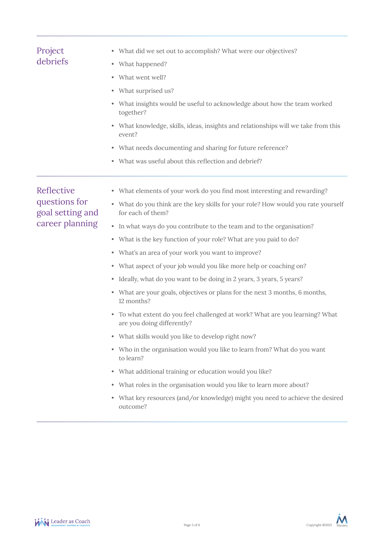| Project<br>debriefs                             | • What did we set out to accomplish? What were our objectives?                                                |
|-------------------------------------------------|---------------------------------------------------------------------------------------------------------------|
|                                                 | • What happened?                                                                                              |
|                                                 | What went well?<br>$\bullet$                                                                                  |
|                                                 | • What surprised us?                                                                                          |
|                                                 | What insights would be useful to acknowledge about how the team worked<br>۰<br>together?                      |
|                                                 | What knowledge, skills, ideas, insights and relationships will we take from this<br>٠<br>event?               |
|                                                 | • What needs documenting and sharing for future reference?                                                    |
|                                                 | • What was useful about this reflection and debrief?                                                          |
| Reflective<br>questions for<br>goal setting and | • What elements of your work do you find most interesting and rewarding?                                      |
|                                                 | • What do you think are the key skills for your role? How would you rate yourself<br>for each of them?        |
| career planning                                 | In what ways do you contribute to the team and to the organisation?<br>٠                                      |
|                                                 | • What is the key function of your role? What are you paid to do?                                             |
|                                                 | • What's an area of your work you want to improve?                                                            |
|                                                 | • What aspect of your job would you like more help or coaching on?                                            |
|                                                 | Ideally, what do you want to be doing in 2 years, 3 years, 5 years?<br>۰                                      |
|                                                 | • What are your goals, objectives or plans for the next 3 months, 6 months,<br>12 months?                     |
|                                                 | To what extent do you feel challenged at work? What are you learning? What<br>۰<br>are you doing differently? |
|                                                 | What skills would you like to develop right now?<br>۰                                                         |
|                                                 | Who in the organisation would you like to learn from? What do you want<br>٠<br>to learn?                      |
|                                                 | • What additional training or education would you like?                                                       |
|                                                 | • What roles in the organisation would you like to learn more about?                                          |
|                                                 | What key resources (and/or knowledge) might you need to achieve the desired<br>۰<br>outcome?                  |
|                                                 |                                                                                                               |